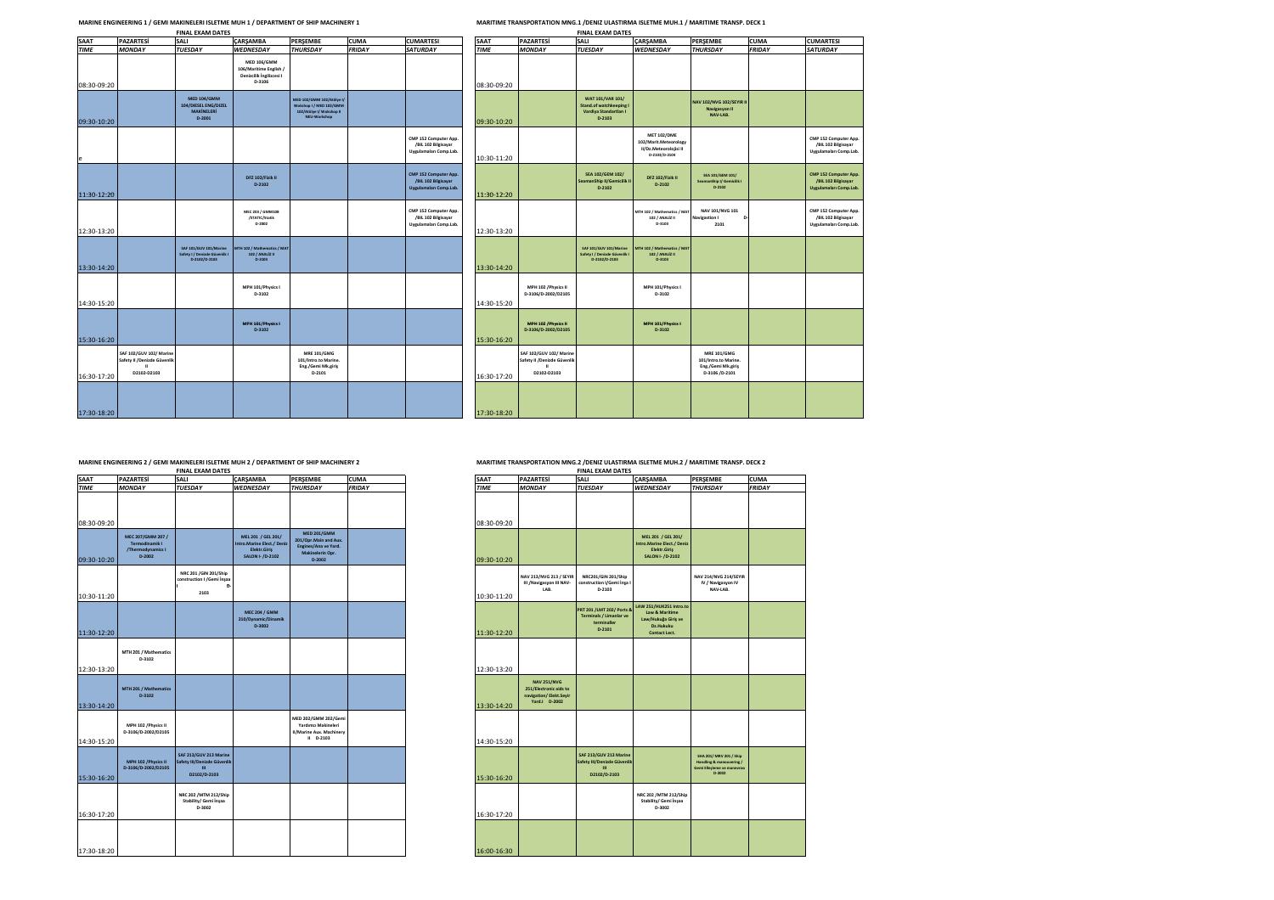## **MARINE ENGINEERING 1 / GEMI MAKINELERI ISLETME MUH 1 / DEPARTMENT OF SHIP MACHINERY 1 MARITIME TRANSPORTATION MNG.1 /DENIZ ULASTIRMA ISLETME MUH.1 / MARITIME TRANSP. DECK 1 FINAL EXAM DATES FINAL EXAM DATES**

|             |                                                                              | <b>FINAL EXAM DATES</b>                                                     |                                                                                  |                                                                                                  |               |                                                                        |             |                                                                             | <b>FINAL EXAM DATES</b>                                                         |                                                                                        |                                                                                    |               |                                                      |
|-------------|------------------------------------------------------------------------------|-----------------------------------------------------------------------------|----------------------------------------------------------------------------------|--------------------------------------------------------------------------------------------------|---------------|------------------------------------------------------------------------|-------------|-----------------------------------------------------------------------------|---------------------------------------------------------------------------------|----------------------------------------------------------------------------------------|------------------------------------------------------------------------------------|---------------|------------------------------------------------------|
| <b>SAAT</b> | <b>PAZARTESI</b>                                                             | SALI                                                                        | <b>CARSAMBA</b>                                                                  | <b>PERSEMBE</b>                                                                                  | <b>CUMA</b>   | <b>CUMARTESI</b>                                                       | <b>SAAT</b> | <b>PAZARTESI</b>                                                            | <b>SALI</b>                                                                     | <b>CARSAMBA</b>                                                                        | <b>PERSEMBE</b>                                                                    | <b>CUMA</b>   | <b>CUMARTES</b>                                      |
| <b>TIME</b> | <b>MONDAY</b>                                                                | <b>TUESDAY</b>                                                              | <b>WEDNESDAY</b>                                                                 | <b><i>THURSDAY</i></b>                                                                           | <b>FRIDAY</b> | <b>SATURDAY</b>                                                        | <b>TIME</b> | <b>MONDAY</b>                                                               | <b>TUESDAY</b>                                                                  | <b>WEDNESDAY</b>                                                                       | <b>THURSDAY</b>                                                                    | <b>FRIDAY</b> | <b>SATURDAY</b>                                      |
| 08:30-09:20 |                                                                              |                                                                             | <b>MED 106/GMM</b><br>106/Maritime English<br>Denizcilik İngilizcesi I<br>D-3106 |                                                                                                  |               |                                                                        | 08:30-09:20 |                                                                             |                                                                                 |                                                                                        |                                                                                    |               |                                                      |
| 09:30-10:20 |                                                                              | <b>MED 104/GMM</b><br>104/DIESEL ENG/DIZEL<br><b>MAKİNELERİ</b><br>$D-2001$ |                                                                                  | MED 102/GMM 102/Atölye I/<br>Wokshop I / MED 102/GMM<br>102/Atölye I/ Wokshop II<br>NEU-Workshop |               |                                                                        | 09:30-10:20 |                                                                             | WAT 101/VAR 101/<br>Stand.of watchkeeping<br>Vardiya Standartları I<br>$D-2103$ |                                                                                        | NAV 102/NVG 102/SEYIR II<br>Navigasyon II<br>NAV-LAB.                              |               |                                                      |
|             |                                                                              |                                                                             |                                                                                  |                                                                                                  |               | CMP 152 Computer App.<br>/BIL 102 Bilgisayar<br>Uygulamaları Comp.Lab. | 10:30-11:20 |                                                                             |                                                                                 | <b>MET 102/DME</b><br>102/Marit.Meteorology<br>II/Dz.Meteorolojisi II<br>D-2103/D-2104 |                                                                                    |               | CMP 152 Comp<br>/BIL 102 Bilj<br><b>Uygulamaları</b> |
| 11:30-12:20 |                                                                              |                                                                             | DFZ 102/Fizik II<br>$D-2102$                                                     |                                                                                                  |               | CMP 152 Computer App.<br>/BIL 102 Bilgisayar<br>Uygulamaları Comp.Lab. | 11:30-12:20 |                                                                             | <b>SEA 102/GEM 102/</b><br>SeamanShip II/Gemicilik II<br>$D-2102$               | DFZ 102/Fizik II<br>$D-2102$                                                           | SEA 101/GEM 101/<br>SeamanShip I/ Gemicilik I<br>D-2102                            |               | CMP 152 Comp<br>/BIL 102 Bil<br><b>Uygulamaları</b>  |
| 12:30-13:20 |                                                                              |                                                                             | MEC 203 / GMM108<br>/STATIC/Statik<br>D-2002                                     |                                                                                                  |               | CMP 152 Computer App.<br>/BIL 102 Bilgisayar<br>Uygulamaları Comp.Lab. | 12:30-13:20 |                                                                             |                                                                                 | MTH 102 / Mathematics / MAT<br>102 / ANALIZ II<br>D-3103                               | NAV 101/NVG 101<br><b>Navigastion I</b><br>2101                                    |               | CMP 152 Comp<br>/BIL 102 Bilp<br><b>Uygulamaları</b> |
| 13:30-14:20 |                                                                              | SAF 101/GUV 101/Marine<br>Safety I / Denizde Güvenlik I<br>D-2102/D-2103    | <b>ATH 102 / Mathematics / MAT</b><br>102 / ANALIZ II<br>D-3103                  |                                                                                                  |               |                                                                        | 13:30-14:20 |                                                                             | <b>SAF 101/GUV 101/Marine</b><br>Safety I / Denizde Güvenlik<br>D-2102/D-2103   | MTH 102 / Mathematics / MAT<br>102 / ANALÍZ II<br>D-3103                               |                                                                                    |               |                                                      |
| 14:30-15:20 |                                                                              |                                                                             | MPH 101/Physics I<br>D-3102                                                      |                                                                                                  |               |                                                                        | 14:30-15:20 | MPH 102 / Physics II<br>D-3106/D-2002/D2105                                 |                                                                                 | MPH 101/Physics I<br>D-3102                                                            |                                                                                    |               |                                                      |
| 15:30-16:20 |                                                                              |                                                                             | MPH 101/Physics I<br>D-3102                                                      |                                                                                                  |               |                                                                        | 15:30-16:20 | MPH 102 / Physics II<br>D-3106/D-2002/D2105                                 |                                                                                 | MPH 101/Physics I<br>D-3102                                                            |                                                                                    |               |                                                      |
| 16:30-17:20 | <b>SAF 102/GUV 102/ Marine</b><br>Safety II /Denizde Güvenlik<br>D2102-D2103 |                                                                             |                                                                                  | <b>MRE 101/GMG</b><br>101/Intro.to Marine.<br>Eng./Gemi Mk.giriş<br>$D-2101$                     |               |                                                                        | 16:30-17:20 | SAF 102/GUV 102/ Marine<br>Safety II /Denizde Güvenlik<br>×,<br>D2102-D2103 |                                                                                 |                                                                                        | <b>MRE 101/GMG</b><br>101/Intro.to Marine.<br>Eng./Gemi Mk.giriş<br>D-3106 /D-2101 |               |                                                      |
| 17:30-18:20 |                                                                              |                                                                             |                                                                                  |                                                                                                  |               |                                                                        | 17:30-18:20 |                                                                             |                                                                                 |                                                                                        |                                                                                    |               |                                                      |

| SAAI        | <b>PAZARIESI</b>                            | SALI                                                  | <b>УАКЭАМВА</b>                                 | PEKŞEIVIDE                                    | <b>LUIVIA</b> | <b>CUMARIESI</b>                              |
|-------------|---------------------------------------------|-------------------------------------------------------|-------------------------------------------------|-----------------------------------------------|---------------|-----------------------------------------------|
| <b>TIME</b> | <b>MONDAY</b>                               | <b>TUESDAY</b>                                        | <b>WEDNESDAY</b>                                | <b>THURSDAY</b>                               | <b>FRIDAY</b> | <b>SATURDAY</b>                               |
|             |                                             |                                                       |                                                 |                                               |               |                                               |
|             |                                             |                                                       |                                                 |                                               |               |                                               |
| 08:30-09:20 |                                             |                                                       |                                                 |                                               |               |                                               |
|             |                                             | WAT 101/VAR 101/                                      |                                                 | NAV 102/NVG 102/SEYIR II                      |               |                                               |
|             |                                             | Stand.of watchkeeping I<br>Vardiya Standartları I     |                                                 | Navigasyon II                                 |               |                                               |
| 09:30-10:20 |                                             | $D-2103$                                              |                                                 | NAV-LAB.                                      |               |                                               |
|             |                                             |                                                       | <b>MET 102/DME</b>                              |                                               |               | CMP 152 Computer App.                         |
|             |                                             |                                                       | 102/Marit.Meteorology<br>II/Dz.Meteorolojisi II |                                               |               | /BIL 102 Bilgisayar                           |
| 10:30-11:20 |                                             |                                                       | D-2103/D-2104                                   |                                               |               | Uygulamaları Comp.Lab.                        |
|             |                                             |                                                       |                                                 |                                               |               |                                               |
|             |                                             | <b>SEA 102/GEM 102/</b><br>SeamanShip II/Gemicilik II | DFZ 102/Fizik II                                | SEA 101/GEM 101/<br>SeamanShip I/ Gemicilik I |               | CMP 152 Computer App.<br>/BIL 102 Bilgisayar  |
|             |                                             | $D-2102$                                              | $D-2102$                                        | D-2102                                        |               | Uygulamaları Comp.Lab.                        |
| 11:30-12:20 |                                             |                                                       |                                                 |                                               |               |                                               |
|             |                                             |                                                       | MTH 102 / Mathematics / MAT                     | NAV 101/NVG 101                               |               | CMP 152 Computer App.                         |
|             |                                             |                                                       | 102 / ANALIZ II<br>D-3103                       | Navigastion I<br>Þ<br>2101                    |               | /BIL 102 Bilgisayar<br>Uygulamaları Comp.Lab. |
| 12:30-13:20 |                                             |                                                       |                                                 |                                               |               |                                               |
|             |                                             | SAF 101/GUV 101/Marine                                | MTH 102 / Mathematics / MAT                     |                                               |               |                                               |
|             |                                             | Safety I / Denizde Güvenlik I<br>D-2102/D-2103        | 102 / ANALÍZ II<br>D-3103                       |                                               |               |                                               |
| 13:30-14:20 |                                             |                                                       |                                                 |                                               |               |                                               |
|             |                                             |                                                       |                                                 |                                               |               |                                               |
|             | MPH 102 / Physics II<br>D-3106/D-2002/D2105 |                                                       | MPH 101/Physics I<br>D-3102                     |                                               |               |                                               |
| 14:30-15:20 |                                             |                                                       |                                                 |                                               |               |                                               |
|             |                                             |                                                       |                                                 |                                               |               |                                               |
|             | MPH 102 / Physics II<br>D-3106/D-2002/D2105 |                                                       | MPH 101/Physics I<br>D-3102                     |                                               |               |                                               |
| 15:30-16:20 |                                             |                                                       |                                                 |                                               |               |                                               |
|             | SAF 102/GUV 102/ Marine                     |                                                       |                                                 | <b>MRE 101/GMG</b>                            |               |                                               |
|             | Safety II /Denizde Güvenlik                 |                                                       |                                                 | 101/Intro.to Marine.                          |               |                                               |
|             | m<br>D2102-D2103                            |                                                       |                                                 | Eng./Gemi Mk.giriş<br>D-3106 /D-2101          |               |                                               |
| 16:30-17:20 |                                             |                                                       |                                                 |                                               |               |                                               |
|             |                                             |                                                       |                                                 |                                               |               |                                               |
|             |                                             |                                                       |                                                 |                                               |               |                                               |
| 17:30-18:20 |                                             |                                                       |                                                 |                                               |               |                                               |

|             |                                                                    | <b>FINAL EXAM DATES</b>                                                               |                                                                                      |                                                                                                     |               |             |             |                                                                                         | <b>FINAL EXAM DATES</b>                                                         |                                                                                                           |                                                                                                         |               |
|-------------|--------------------------------------------------------------------|---------------------------------------------------------------------------------------|--------------------------------------------------------------------------------------|-----------------------------------------------------------------------------------------------------|---------------|-------------|-------------|-----------------------------------------------------------------------------------------|---------------------------------------------------------------------------------|-----------------------------------------------------------------------------------------------------------|---------------------------------------------------------------------------------------------------------|---------------|
| <b>SAAT</b> | <b>PAZARTES</b>                                                    | SALI                                                                                  | CARSAMBA                                                                             | PERSEMBE                                                                                            | <b>CUMA</b>   | <b>SAAT</b> |             | <b>PAZARTESİ</b>                                                                        | <b>SALI</b>                                                                     | <b>CARSAMBA</b>                                                                                           | <b>PERSEMBE</b>                                                                                         | <b>CUMA</b>   |
| <b>TIME</b> | <b>MONDAY</b>                                                      | <b>TUESDAY</b>                                                                        | <b>WEDNESDAY</b>                                                                     | <b>THURSDAY</b>                                                                                     | <b>FRIDAY</b> | <b>TIME</b> |             | <b>MONDAY</b>                                                                           | <b>TUESDAY</b>                                                                  | <b>WEDNESDAY</b>                                                                                          | <b>THURSDAY</b>                                                                                         | <b>FRIDAY</b> |
| 08:30-09:20 |                                                                    |                                                                                       |                                                                                      |                                                                                                     |               |             | 08:30-09:20 |                                                                                         |                                                                                 |                                                                                                           |                                                                                                         |               |
| 09:30-10:20 | MEC 207/GMM 207 /<br>Termodinamik I<br>/Thermodynamics I<br>D-2002 |                                                                                       | MEL 201 / GEL 201/<br>Intro.Marine Elect./ Deniz<br>Elektr.Giriş<br>SALON I- /D-2102 | <b>MED 201/GMM</b><br>201/Opr.Main and Aux.<br>Engines/Ana ve Yard.<br>Makinelerin Opr.<br>$D-2002$ |               |             | 09:30-10:20 |                                                                                         |                                                                                 | MEL 201 / GEL 201/<br>Intro.Marine Elect./ Deni:<br>Elektr.Giriş<br>SALON I- /D-2102                      |                                                                                                         |               |
| 10:30-11:20 |                                                                    | NRC 201 / GIN 201/Ship<br>construction I / Gemi İnşaa<br>2103                         |                                                                                      |                                                                                                     |               |             | 10:30-11:20 | NAV 213/NVG 213 / SEYIR<br>III /Navigasyon III NAV-<br>LAB.                             | NRC201/GIN 201/Ship<br>construction I/Gemi Insa<br>$D-2103$                     |                                                                                                           | <b>NAV 214/NVG 214/SEYIR</b><br>IV / Navigasyon IV<br>NAV-LAB.                                          |               |
| 11:30-12:20 |                                                                    |                                                                                       | <b>MEC 204 / GMM</b><br>210/Dynamic/Dinamik<br>$D-3002$                              |                                                                                                     |               |             | 11:30-12:20 |                                                                                         | PRT 201 /LMT 202/ Ports 8<br>Terminals / Limanlar ve<br>terminaller<br>$D-2101$ | LAW 251/HUK251 Intro.to<br><b>Law &amp; Maritime</b><br>Law/Hukuğa Giriş ve<br>Dz.Hukuku<br>Contact Lect. |                                                                                                         |               |
| 12:30-13:20 | MTH 201 / Mathematics<br>D-3102                                    |                                                                                       |                                                                                      |                                                                                                     |               |             | 12:30-13:20 |                                                                                         |                                                                                 |                                                                                                           |                                                                                                         |               |
| 13:30-14:20 | MTH 201 / Mathematics<br>D-3102                                    |                                                                                       |                                                                                      |                                                                                                     |               |             | 13:30-14:20 | <b>NAV 251/NVG</b><br>251/Electronic aids to<br>navigation/Elekt.Seyir<br>Yard.I D-2002 |                                                                                 |                                                                                                           |                                                                                                         |               |
| 14:30-15:20 | MPH 102 / Physics II<br>D-3106/D-2002/D2105                        |                                                                                       |                                                                                      | MED 202/GMM 202/Gemi<br>Yardımcı Makineleri<br>II/Marine Aux. Machinery<br>$II$ D-2103              |               |             | 14:30-15:20 |                                                                                         |                                                                                 |                                                                                                           |                                                                                                         |               |
| 15:30-16:20 | MPH 102 / Physics II<br>D-3106/D-2002/D2105                        | SAF 213/GUV 213 Marine<br>Safety III/Denizde Güvenlik<br>$\mathbf{m}$<br>D2102/D-2103 |                                                                                      |                                                                                                     |               |             | 15:30-16:20 |                                                                                         | SAF 213/GUV 213 Marine<br>Safety III/Denizde Güvenlil<br>m<br>D2102/D-2103      |                                                                                                           | SHA 201/ MRV 201 / Ship<br><b>Handling &amp; manouvering /</b><br>Gemi Elleçleme ve manevrası<br>D-2002 |               |
| 16:30-17:20 |                                                                    | NRC 202 /MTM 212/Ship<br>Stability/ Gemi Insaa<br>D-3002                              |                                                                                      |                                                                                                     |               |             | 16:30-17:20 |                                                                                         |                                                                                 | NRC 202 /MTM 212/Ship<br>Stability/ Gemi İnşaa<br>D-3002                                                  |                                                                                                         |               |
| 17:30-18:20 |                                                                    |                                                                                       |                                                                                      |                                                                                                     |               |             | 16:00-16:30 |                                                                                         |                                                                                 |                                                                                                           |                                                                                                         |               |

# MARINE ENGINEERING 2 / GEMI MAKINELERI ISLETME MENINE ERANGPORTATION AN ARRITIME TRANSPORTATION MARITIME IRAL ZOENIZ UNATITIMA ENGILETME MUH.2 / MARITIME TRANSP. DECK 2<br>FINAL EXAM DATES PROVIDENT AND ENGILETAM DATES

| <b>SAAT</b> | <b>PAZARTESİ</b>                                                                         | <b>I IIVAL LAAIVI DATLJ</b><br>SALI                                             | <b>CARSAMBA</b>                                                                                           | PERSEMBE                                                                                     | <b>CUMA</b>   |  |  |
|-------------|------------------------------------------------------------------------------------------|---------------------------------------------------------------------------------|-----------------------------------------------------------------------------------------------------------|----------------------------------------------------------------------------------------------|---------------|--|--|
| <b>TIME</b> | <b>MONDAY</b>                                                                            | <b>TUESDAY</b>                                                                  | WEDNESDAY                                                                                                 | <b>THURSDAY</b>                                                                              | <b>FRIDAY</b> |  |  |
| 08:30-09:20 |                                                                                          |                                                                                 |                                                                                                           |                                                                                              |               |  |  |
| 09:30-10:20 |                                                                                          |                                                                                 | MEL 201 / GEL 201/<br>Intro.Marine Elect./ Deniz<br>Elektr.Giriş<br>SALON I- /D-2102                      |                                                                                              |               |  |  |
| 10:30-11:20 | NAV 213/NVG 213 / SEYIR<br>III /Navigasyon III NAV-<br>LAB.                              | NRC201/GIN 201/Ship<br>construction I/Gemi Insa I<br>D-2103                     |                                                                                                           | <b>NAV 214/NVG 214/SEYIR</b><br>IV / Navigasyon IV<br>NAV-LAB.                               |               |  |  |
| 11:30-12:20 |                                                                                          | PRT 201 /LMT 202/ Ports &<br>Terminals / Limanlar ve<br>terminaller<br>$D-2101$ | LAW 251/HUK251 Intro.to<br><b>Law &amp; Maritime</b><br>Law/Hukuğa Giriş ve<br>Dz.Hukuku<br>Contact Lect. |                                                                                              |               |  |  |
| 12:30-13:20 |                                                                                          |                                                                                 |                                                                                                           |                                                                                              |               |  |  |
| 13:30-14:20 | <b>NAV 251/NVG</b><br>251/Electronic aids to<br>navigation/ Elekt.Seyir<br>Yard.I D-2002 |                                                                                 |                                                                                                           |                                                                                              |               |  |  |
| 14:30-15:20 |                                                                                          |                                                                                 |                                                                                                           |                                                                                              |               |  |  |
| 15:30-16:20 |                                                                                          | SAF 213/GUV 213 Marine<br>Safety III/Denizde Güvenlik<br>m<br>D2102/D-2103      |                                                                                                           | SHA 201/ MRV 201 / Ship<br>Handling & manouvering /<br>Gemi Elleçleme ve manevrası<br>D-2002 |               |  |  |
| 16:30-17:20 |                                                                                          |                                                                                 | NRC 202 /MTM 212/Ship<br>Stability/ Gemi İnşaa<br>D-3002                                                  |                                                                                              |               |  |  |
| 16:00-16:30 |                                                                                          |                                                                                 |                                                                                                           |                                                                                              |               |  |  |